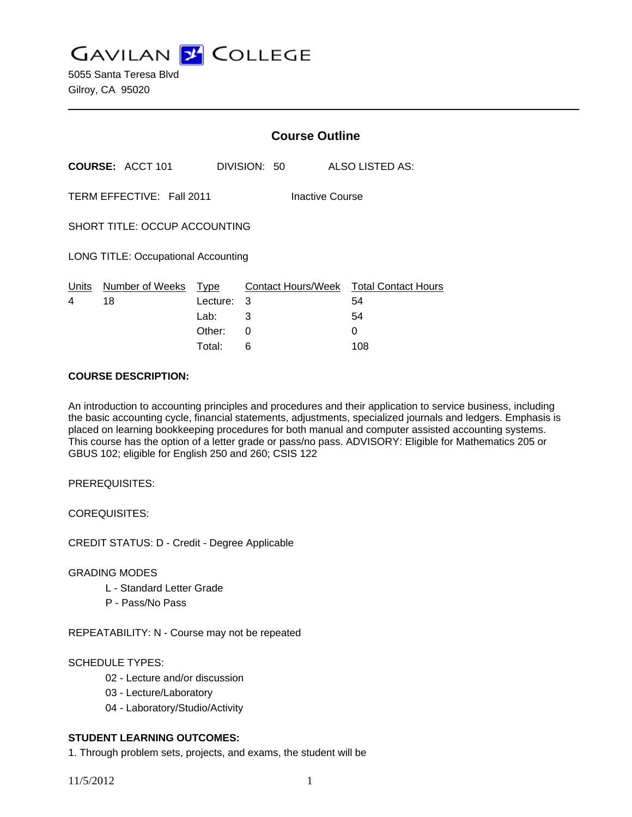**GAVILAN J COLLEGE** 

5055 Santa Teresa Blvd Gilroy, CA 95020

|                                            |                           | <b>Course Outline</b> |                 |                                        |  |
|--------------------------------------------|---------------------------|-----------------------|-----------------|----------------------------------------|--|
|                                            | <b>COURSE: ACCT 101</b>   |                       | DIVISION: 50    | <b>ALSO LISTED AS:</b>                 |  |
|                                            | TERM EFFECTIVE: Fall 2011 |                       | Inactive Course |                                        |  |
| SHORT TITLE: OCCUP ACCOUNTING              |                           |                       |                 |                                        |  |
| <b>LONG TITLE: Occupational Accounting</b> |                           |                       |                 |                                        |  |
| <u>Un</u> its                              | Number of Weeks           | Type                  |                 | Contact Hours/Week Total Contact Hours |  |
| 4                                          | 18                        | Lecture: 3            |                 | 54                                     |  |
|                                            |                           | Lab: Lab              | 3               | 54                                     |  |
|                                            |                           | Other:                | 0               | 0                                      |  |
|                                            |                           | Total:                | 6               | 108                                    |  |

## **COURSE DESCRIPTION:**

An introduction to accounting principles and procedures and their application to service business, including the basic accounting cycle, financial statements, adjustments, specialized journals and ledgers. Emphasis is placed on learning bookkeeping procedures for both manual and computer assisted accounting systems. This course has the option of a letter grade or pass/no pass. ADVISORY: Eligible for Mathematics 205 or GBUS 102; eligible for English 250 and 260; CSIS 122

PREREQUISITES:

COREQUISITES:

CREDIT STATUS: D - Credit - Degree Applicable

### GRADING MODES

- L Standard Letter Grade
- P Pass/No Pass

REPEATABILITY: N - Course may not be repeated

## SCHEDULE TYPES:

- 02 Lecture and/or discussion
- 03 Lecture/Laboratory
- 04 Laboratory/Studio/Activity

# **STUDENT LEARNING OUTCOMES:**

1. Through problem sets, projects, and exams, the student will be

11/5/2012 1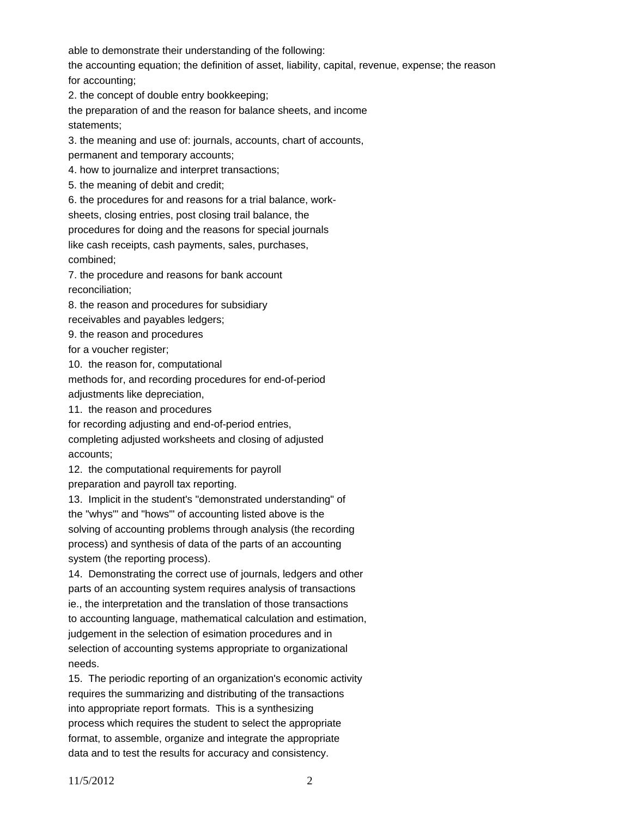able to demonstrate their understanding of the following:

the accounting equation; the definition of asset, liability, capital, revenue, expense; the reason for accounting;

2. the concept of double entry bookkeeping;

the preparation of and the reason for balance sheets, and income statements;

3. the meaning and use of: journals, accounts, chart of accounts, permanent and temporary accounts;

4. how to journalize and interpret transactions;

5. the meaning of debit and credit;

6. the procedures for and reasons for a trial balance, work-

sheets, closing entries, post closing trail balance, the

procedures for doing and the reasons for special journals

like cash receipts, cash payments, sales, purchases,

combined;

7. the procedure and reasons for bank account reconciliation;

8. the reason and procedures for subsidiary

receivables and payables ledgers;

9. the reason and procedures

for a voucher register;

10. the reason for, computational

methods for, and recording procedures for end-of-period adjustments like depreciation,

11. the reason and procedures

for recording adjusting and end-of-period entries, completing adjusted worksheets and closing of adjusted accounts;

12. the computational requirements for payroll preparation and payroll tax reporting.

13. Implicit in the student's "demonstrated understanding" of the "whys'" and "hows'" of accounting listed above is the solving of accounting problems through analysis (the recording process) and synthesis of data of the parts of an accounting

system (the reporting process).

14. Demonstrating the correct use of journals, ledgers and other parts of an accounting system requires analysis of transactions ie., the interpretation and the translation of those transactions to accounting language, mathematical calculation and estimation, judgement in the selection of esimation procedures and in selection of accounting systems appropriate to organizational needs.

15. The periodic reporting of an organization's economic activity requires the summarizing and distributing of the transactions into appropriate report formats. This is a synthesizing process which requires the student to select the appropriate format, to assemble, organize and integrate the appropriate data and to test the results for accuracy and consistency.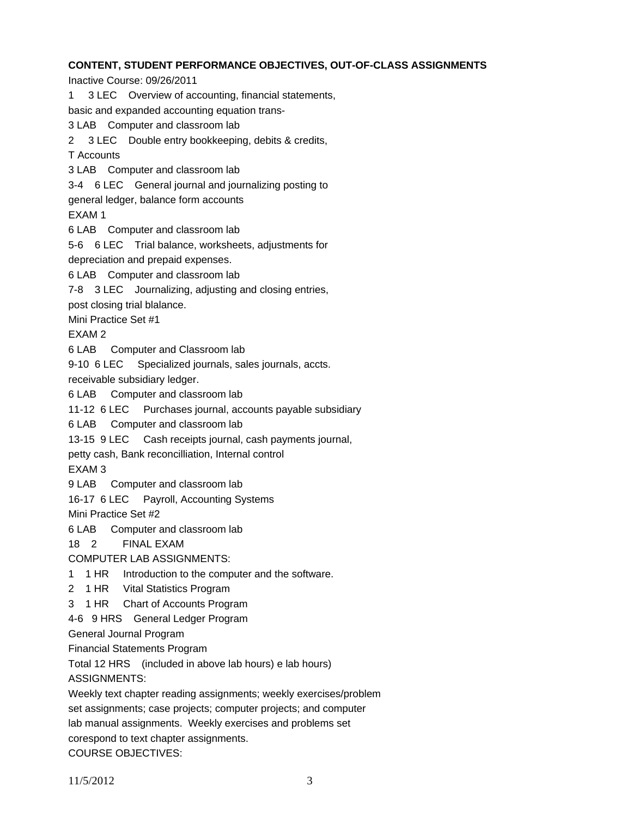## **CONTENT, STUDENT PERFORMANCE OBJECTIVES, OUT-OF-CLASS ASSIGNMENTS**

Inactive Course: 09/26/2011

1 3 LEC Overview of accounting, financial statements,

basic and expanded accounting equation trans-

3 LAB Computer and classroom lab

2 3 LEC Double entry bookkeeping, debits & credits,

T Accounts

3 LAB Computer and classroom lab

3-4 6 LEC General journal and journalizing posting to

general ledger, balance form accounts

EXAM 1

6 LAB Computer and classroom lab

5-6 6 LEC Trial balance, worksheets, adjustments for

depreciation and prepaid expenses.

6 LAB Computer and classroom lab

7-8 3 LEC Journalizing, adjusting and closing entries,

post closing trial blalance.

Mini Practice Set #1

EXAM 2

6 LAB Computer and Classroom lab

9-10 6 LEC Specialized journals, sales journals, accts.

receivable subsidiary ledger.

6 LAB Computer and classroom lab

11-12 6 LEC Purchases journal, accounts payable subsidiary

6 LAB Computer and classroom lab

13-15 9 LEC Cash receipts journal, cash payments journal,

petty cash, Bank reconcilliation, Internal control

EXAM 3

9 LAB Computer and classroom lab

16-17 6 LEC Payroll, Accounting Systems

Mini Practice Set #2

6 LAB Computer and classroom lab

18 2 FINAL EXAM

COMPUTER LAB ASSIGNMENTS:

1 1 HR Introduction to the computer and the software.

2 1 HR Vital Statistics Program

3 1 HR Chart of Accounts Program

4-6 9 HRS General Ledger Program

General Journal Program

Financial Statements Program

Total 12 HRS (included in above lab hours) e lab hours)

ASSIGNMENTS:

Weekly text chapter reading assignments; weekly exercises/problem

set assignments; case projects; computer projects; and computer

lab manual assignments. Weekly exercises and problems set

corespond to text chapter assignments.

COURSE OBJECTIVES: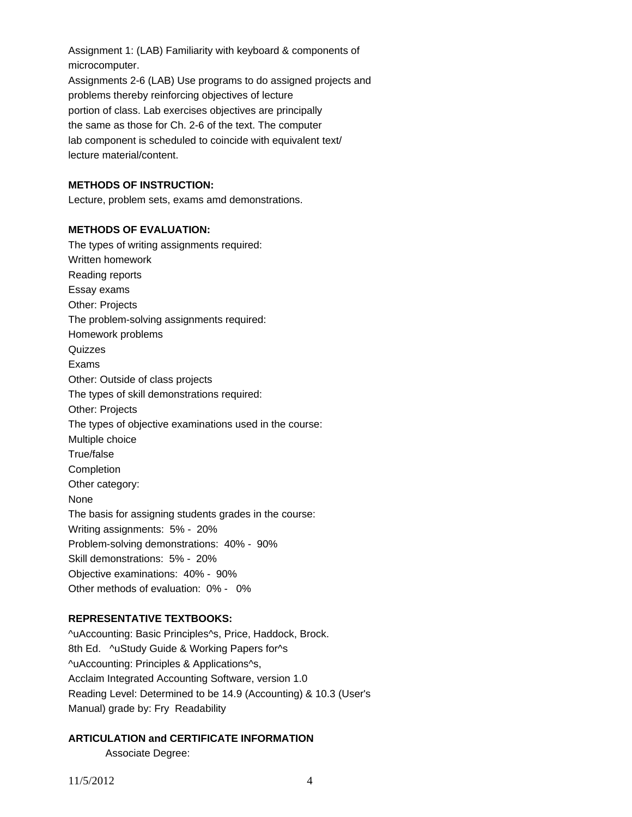Assignment 1: (LAB) Familiarity with keyboard & components of microcomputer. Assignments 2-6 (LAB) Use programs to do assigned projects and problems thereby reinforcing objectives of lecture portion of class. Lab exercises objectives are principally the same as those for Ch. 2-6 of the text. The computer lab component is scheduled to coincide with equivalent text/ lecture material/content.

## **METHODS OF INSTRUCTION:**

Lecture, problem sets, exams amd demonstrations.

### **METHODS OF EVALUATION:**

The types of writing assignments required: Written homework Reading reports Essay exams Other: Projects The problem-solving assignments required: Homework problems **Quizzes** Exams Other: Outside of class projects The types of skill demonstrations required: Other: Projects The types of objective examinations used in the course: Multiple choice True/false Completion Other category: None The basis for assigning students grades in the course: Writing assignments: 5% - 20% Problem-solving demonstrations: 40% - 90% Skill demonstrations: 5% - 20% Objective examinations: 40% - 90% Other methods of evaluation: 0% - 0%

## **REPRESENTATIVE TEXTBOOKS:**

^uAccounting: Basic Principles^s, Price, Haddock, Brock. 8th Ed. ^uStudy Guide & Working Papers for^s ^uAccounting: Principles & Applications^s, Acclaim Integrated Accounting Software, version 1.0 Reading Level: Determined to be 14.9 (Accounting) & 10.3 (User's Manual) grade by: Fry Readability

#### **ARTICULATION and CERTIFICATE INFORMATION**

Associate Degree: